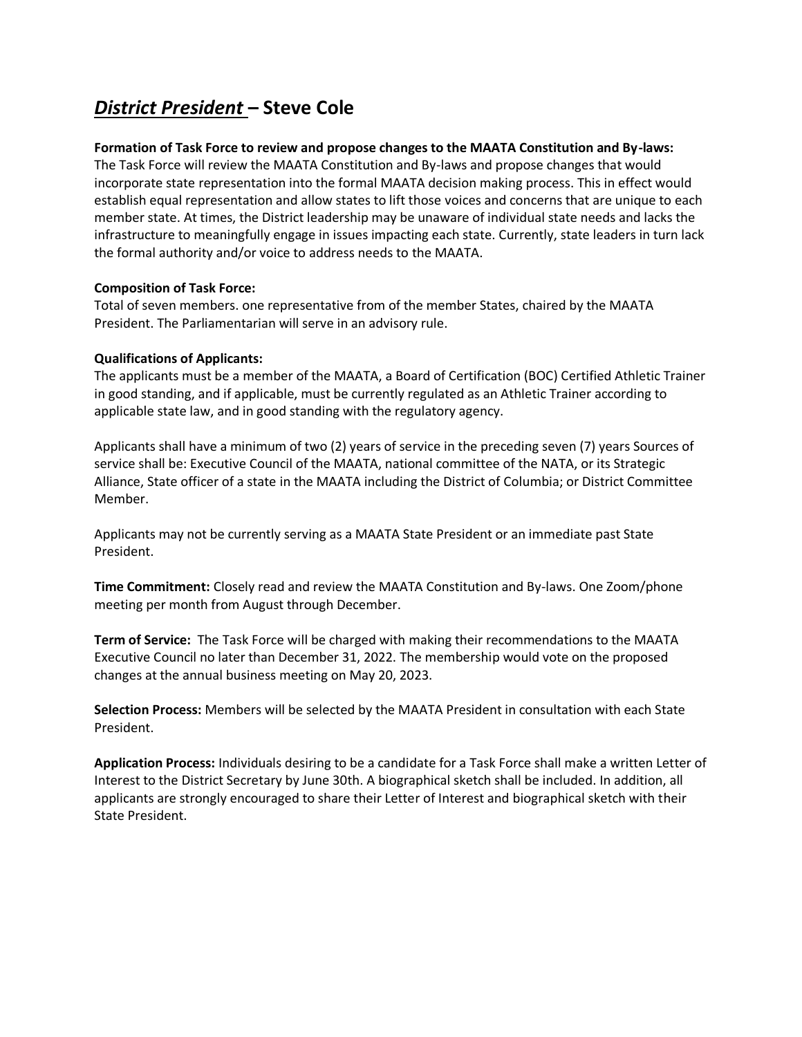# *District President* **– Steve Cole**

#### **Formation of Task Force to review and propose changes to the MAATA Constitution and By-laws:**

The Task Force will review the MAATA Constitution and By-laws and propose changes that would incorporate state representation into the formal MAATA decision making process. This in effect would establish equal representation and allow states to lift those voices and concerns that are unique to each member state. At times, the District leadership may be unaware of individual state needs and lacks the infrastructure to meaningfully engage in issues impacting each state. Currently, state leaders in turn lack the formal authority and/or voice to address needs to the MAATA.

#### **Composition of Task Force:**

Total of seven members. one representative from of the member States, chaired by the MAATA President. The Parliamentarian will serve in an advisory rule.

#### **Qualifications of Applicants:**

The applicants must be a member of the MAATA, a Board of Certification (BOC) Certified Athletic Trainer in good standing, and if applicable, must be currently regulated as an Athletic Trainer according to applicable state law, and in good standing with the regulatory agency.

Applicants shall have a minimum of two (2) years of service in the preceding seven (7) years Sources of service shall be: Executive Council of the MAATA, national committee of the NATA, or its Strategic Alliance, State officer of a state in the MAATA including the District of Columbia; or District Committee Member.

Applicants may not be currently serving as a MAATA State President or an immediate past State President.

**Time Commitment:** Closely read and review the MAATA Constitution and By-laws. One Zoom/phone meeting per month from August through December.

**Term of Service:** The Task Force will be charged with making their recommendations to the MAATA Executive Council no later than December 31, 2022. The membership would vote on the proposed changes at the annual business meeting on May 20, 2023.

**Selection Process:** Members will be selected by the MAATA President in consultation with each State President.

**Application Process:** Individuals desiring to be a candidate for a Task Force shall make a written Letter of Interest to the District Secretary by June 30th. A biographical sketch shall be included. In addition, all applicants are strongly encouraged to share their Letter of Interest and biographical sketch with their State President.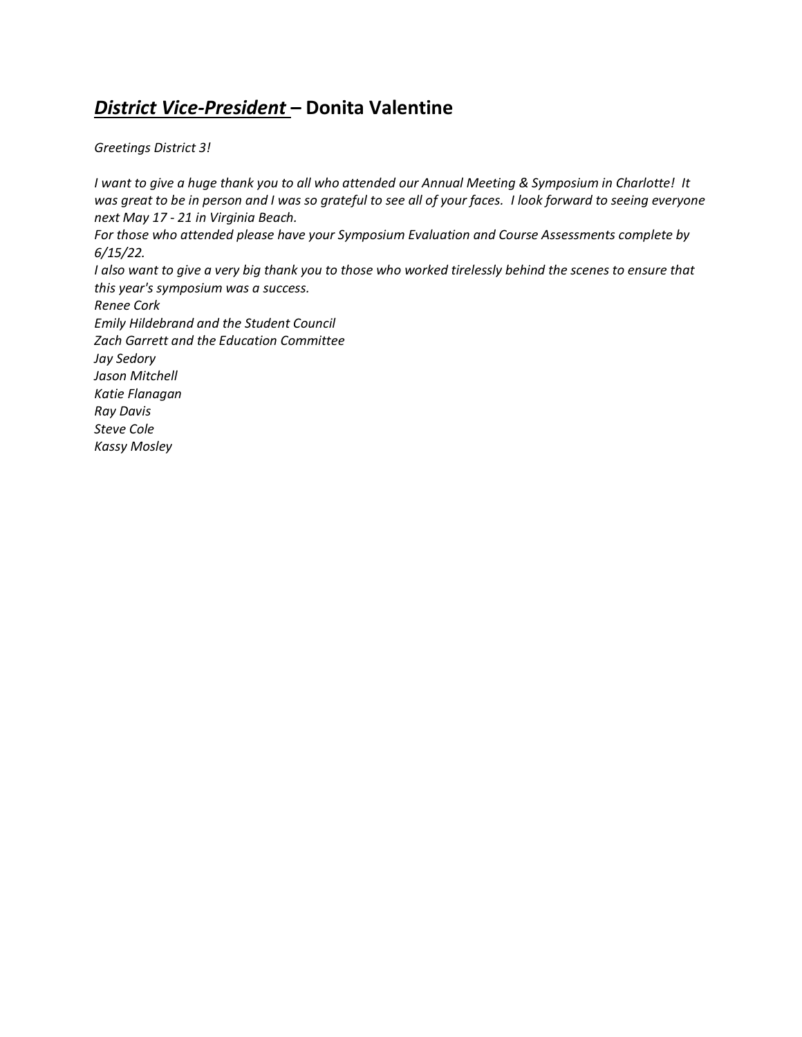# *District Vice-President* **– Donita Valentine**

*Greetings District 3!*

*I want to give a huge thank you to all who attended our Annual Meeting & Symposium in Charlotte! It was great to be in person and I was so grateful to see all of your faces. I look forward to seeing everyone next May 17 - 21 in Virginia Beach. For those who attended please have your Symposium Evaluation and Course Assessments complete by 6/15/22. I also want to give a very big thank you to those who worked tirelessly behind the scenes to ensure that this year's symposium was a success. Renee Cork Emily Hildebrand and the Student Council Zach Garrett and the Education Committee Jay Sedory Jason Mitchell Katie Flanagan Ray Davis Steve Cole Kassy Mosley*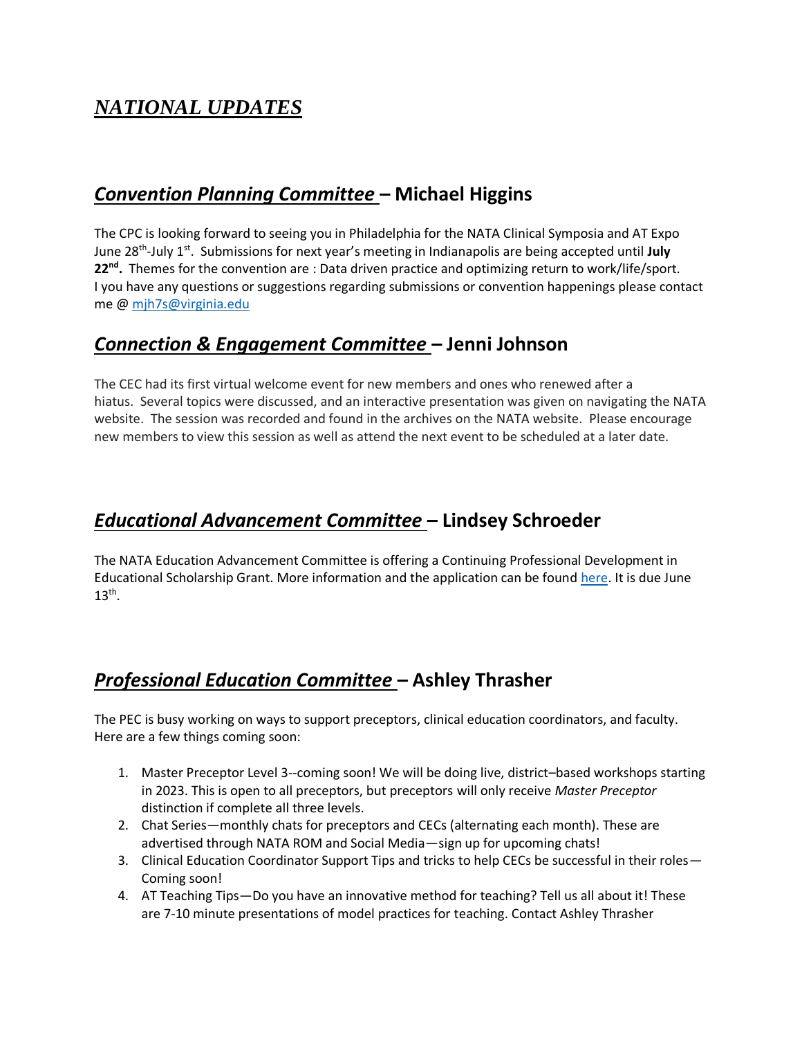# *NATIONAL UPDATES*

### *Convention Planning Committee* **– Michael Higgins**

The CPC is looking forward to seeing you in Philadelphia for the NATA Clinical Symposia and AT Expo June 28th -July 1st . Submissions for next year's meeting in Indianapolis are being accepted until **July 22nd .** Themes for the convention are : Data driven practice and optimizing return to work/life/sport. I you have any questions or suggestions regarding submissions or convention happenings please contact me @ [mjh7s@virginia.edu](mailto:mjh7s@virginia.edu)

### *Connection & Engagement Committee* **– Jenni Johnson**

The CEC had its first virtual welcome event for new members and ones who renewed after a hiatus. Several topics were discussed, and an interactive presentation was given on navigating the NATA website. The session was recorded and found in the archives on the NATA website. Please encourage new members to view this session as well as attend the next event to be scheduled at a later date.

# *Educational Advancement Committee* **– Lindsey Schroeder**

The NATA Education Advancement Committee is offering a Continuing Professional Development in Educational Scholarship Grant. More information and the application can be found [here.](https://www.nata.org/sites/default/files/eac_professional_development_grant_application_2022_final_fillable_as_of_april_21.pdf) It is due June  $13<sup>th</sup>$ .

# *Professional Education Committee* **– Ashley Thrasher**

The PEC is busy working on ways to support preceptors, clinical education coordinators, and faculty. Here are a few things coming soon:

- 1. Master Preceptor Level 3--coming soon! We will be doing live, district–based workshops starting in 2023. This is open to all preceptors, but preceptors will only receive *Master Preceptor* distinction if complete all three levels.
- 2. Chat Series—monthly chats for preceptors and CECs (alternating each month). These are advertised through NATA ROM and Social Media—sign up for upcoming chats!
- 3. Clinical Education Coordinator Support Tips and tricks to help CECs be successful in their roles— Coming soon!
- 4. AT Teaching Tips—Do you have an innovative method for teaching? Tell us all about it! These are 7-10 minute presentations of model practices for teaching. Contact Ashley Thrasher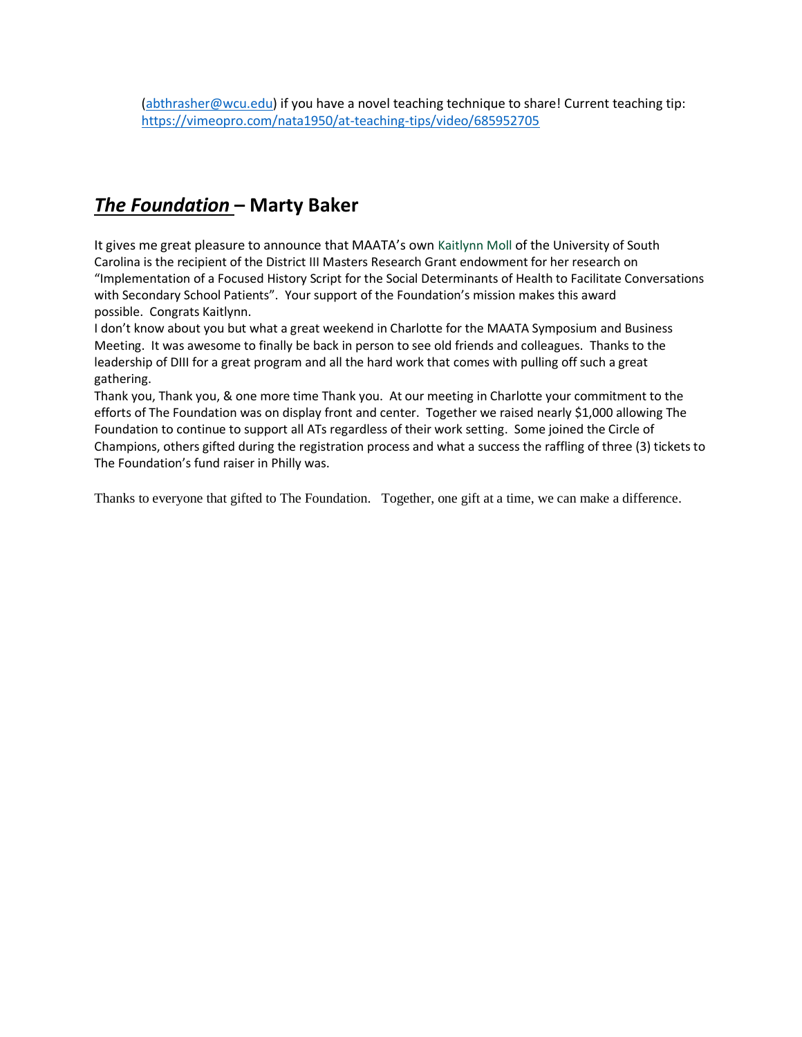# *The Foundation* **– Marty Baker**

It gives me great pleasure to announce that MAATA's own Kaitlynn Moll of the University of South Carolina is the recipient of the District III Masters Research Grant endowment for her research on "Implementation of a Focused History Script for the Social Determinants of Health to Facilitate Conversations with Secondary School Patients". Your support of the Foundation's mission makes this award possible. Congrats Kaitlynn.

I don't know about you but what a great weekend in Charlotte for the MAATA Symposium and Business Meeting. It was awesome to finally be back in person to see old friends and colleagues. Thanks to the leadership of DIII for a great program and all the hard work that comes with pulling off such a great gathering.

Thank you, Thank you, & one more time Thank you. At our meeting in Charlotte your commitment to the efforts of The Foundation was on display front and center. Together we raised nearly \$1,000 allowing The Foundation to continue to support all ATs regardless of their work setting. Some joined the Circle of Champions, others gifted during the registration process and what a success the raffling of three (3) tickets to The Foundation's fund raiser in Philly was.

Thanks to everyone that gifted to The Foundation. Together, one gift at a time, we can make a difference.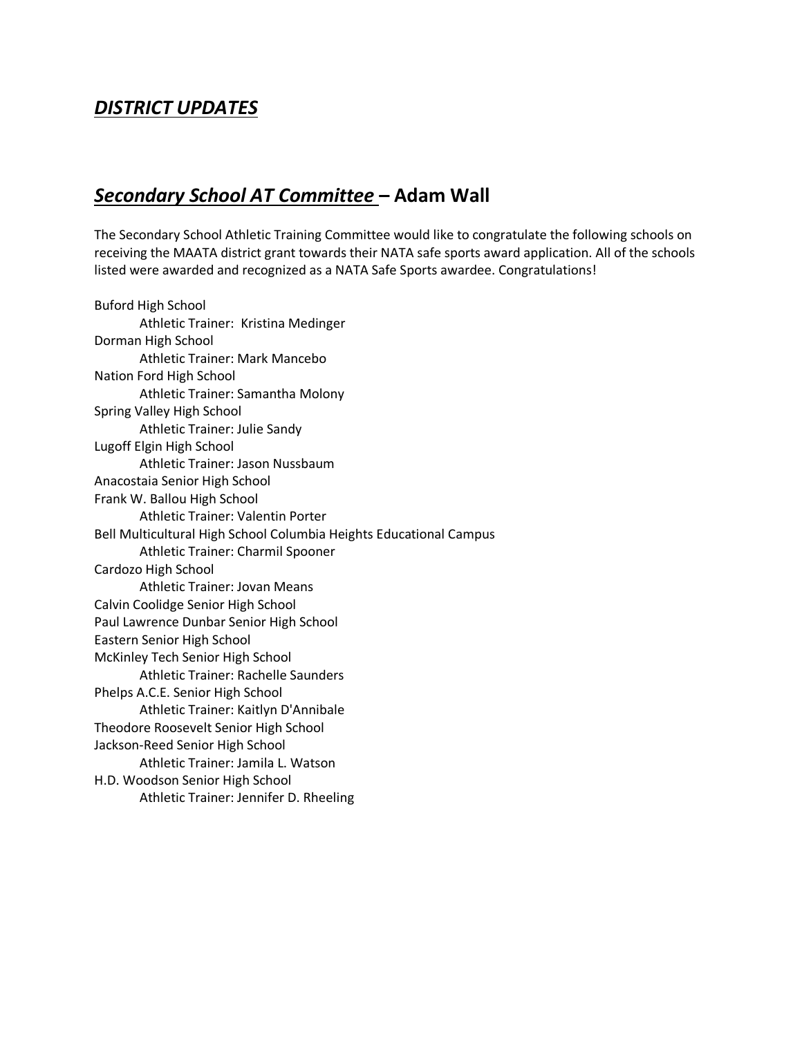# *DISTRICT UPDATES*

### *Secondary School AT Committee* **– Adam Wall**

The Secondary School Athletic Training Committee would like to congratulate the following schools on receiving the MAATA district grant towards their NATA safe sports award application. All of the schools listed were awarded and recognized as a NATA Safe Sports awardee. Congratulations!

Buford High School Athletic Trainer: Kristina Medinger Dorman High School Athletic Trainer: Mark Mancebo Nation Ford High School Athletic Trainer: Samantha Molony Spring Valley High School Athletic Trainer: Julie Sandy Lugoff Elgin High School Athletic Trainer: Jason Nussbaum Anacostaia Senior High School Frank W. Ballou High School Athletic Trainer: Valentin Porter Bell Multicultural High School Columbia Heights Educational Campus Athletic Trainer: Charmil Spooner Cardozo High School Athletic Trainer: Jovan Means Calvin Coolidge Senior High School Paul Lawrence Dunbar Senior High School Eastern Senior High School McKinley Tech Senior High School Athletic Trainer: Rachelle Saunders Phelps A.C.E. Senior High School Athletic Trainer: Kaitlyn D'Annibale Theodore Roosevelt Senior High School Jackson-Reed Senior High School Athletic Trainer: Jamila L. Watson H.D. Woodson Senior High School Athletic Trainer: Jennifer D. Rheeling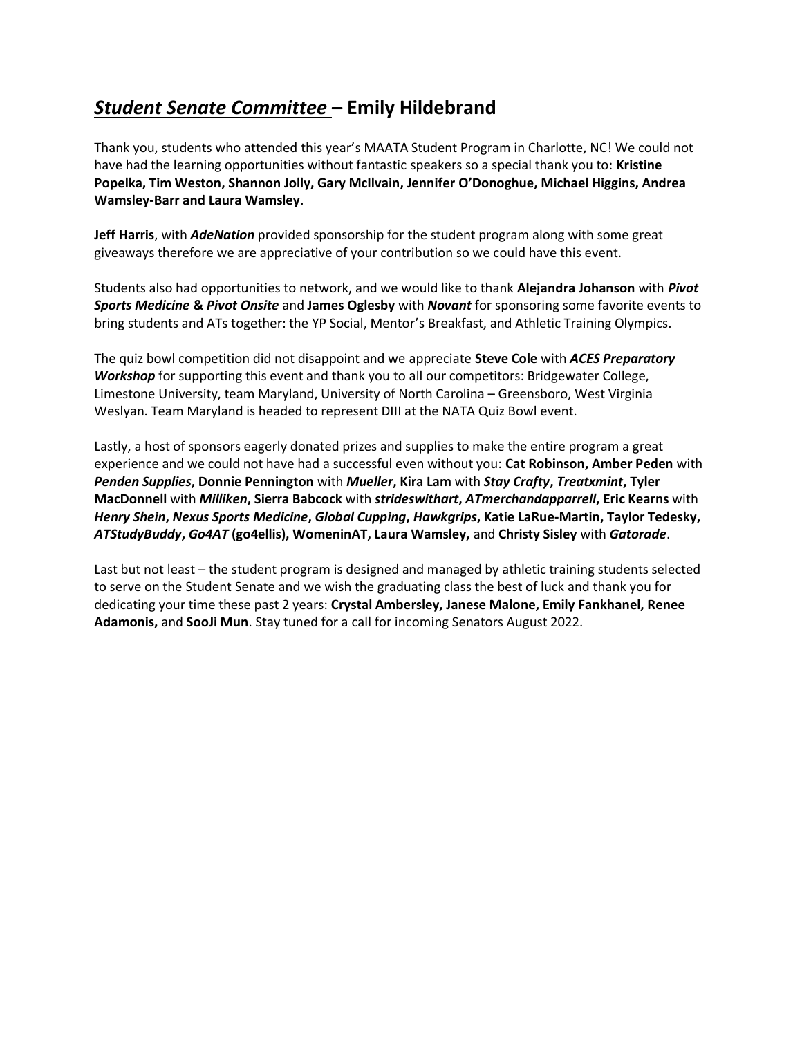# *Student Senate Committee* **– Emily Hildebrand**

Thank you, students who attended this year's MAATA Student Program in Charlotte, NC! We could not have had the learning opportunities without fantastic speakers so a special thank you to: **Kristine Popelka, Tim Weston, Shannon Jolly, Gary McIlvain, Jennifer O'Donoghue, Michael Higgins, Andrea Wamsley-Barr and Laura Wamsley**.

**Jeff Harris**, with *AdeNation* provided sponsorship for the student program along with some great giveaways therefore we are appreciative of your contribution so we could have this event.

Students also had opportunities to network, and we would like to thank **Alejandra Johanson** with *Pivot Sports Medicine* **&** *Pivot Onsite* and **James Oglesby** with *Novant* for sponsoring some favorite events to bring students and ATs together: the YP Social, Mentor's Breakfast, and Athletic Training Olympics.

The quiz bowl competition did not disappoint and we appreciate **Steve Cole** with *ACES Preparatory Workshop* for supporting this event and thank you to all our competitors: Bridgewater College, Limestone University, team Maryland, University of North Carolina – Greensboro, West Virginia Weslyan. Team Maryland is headed to represent DIII at the NATA Quiz Bowl event.

Lastly, a host of sponsors eagerly donated prizes and supplies to make the entire program a great experience and we could not have had a successful even without you: **Cat Robinson, Amber Peden** with *Penden Supplies***, Donnie Pennington** with *Mueller***, Kira Lam** with *Stay Crafty***,** *Treatxmint***, Tyler MacDonnell** with *Milliken***, Sierra Babcock** with *strideswithart***,** *ATmerchandapparrell***, Eric Kearns** with *Henry Shein***,** *Nexus Sports Medicine***,** *Global Cupping***,** *Hawkgrips***, Katie LaRue-Martin, Taylor Tedesky,**  *ATStudyBuddy***,** *Go4AT* **(go4ellis), WomeninAT, Laura Wamsley,** and **Christy Sisley** with *Gatorade*.

Last but not least – the student program is designed and managed by athletic training students selected to serve on the Student Senate and we wish the graduating class the best of luck and thank you for dedicating your time these past 2 years: **Crystal Ambersley, Janese Malone, Emily Fankhanel, Renee Adamonis,** and **SooJi Mun**. Stay tuned for a call for incoming Senators August 2022.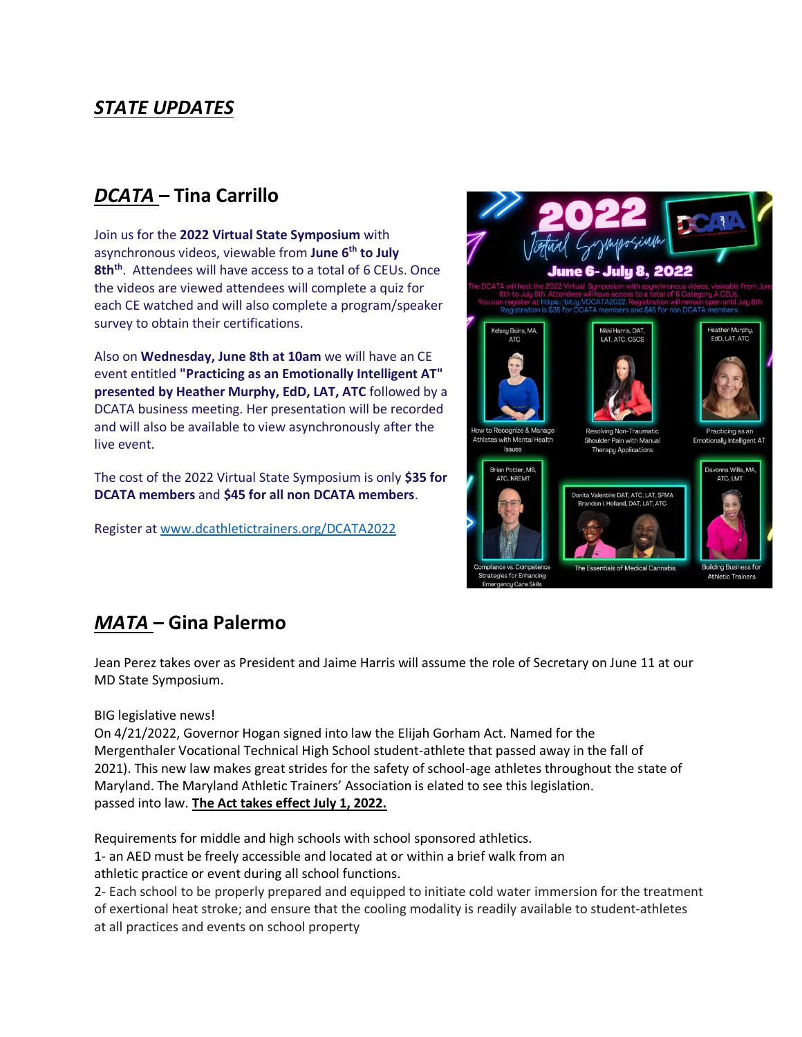# *STATE UPDATES*

# *DCATA* **– Tina Carrillo**

Join us for the **2022 Virtual State Symposium** with asynchronous videos, viewable from **June 6th to July 8thth** . Attendees will have access to a total of 6 CEUs. Once the videos are viewed attendees will complete a quiz for each CE watched and will also complete a program/speaker survey to obtain their certifications.

Also on **Wednesday, June 8th at 10am** we will have an CE event entitled **"Practicing as an Emotionally Intelligent AT" presented by Heather Murphy, EdD, LAT, ATC** followed by a DCATA business meeting. Her presentation will be recorded and will also be available to view asynchronously after the live event.

The cost of the 2022 Virtual State Symposium is only **\$35 for DCATA members** and **\$45 for all non DCATA members**.

Register at [www.dcathletictrainers.org/DCATA2022](http://dcathletictrainers.org/DCATA2022)



# *MATA* **– Gina Palermo**

Jean Perez takes over as President and Jaime Harris will assume the role of Secretary on June 11 at our MD State Symposium.

BIG legislative news!

On 4/21/2022, Governor Hogan signed into law the Elijah Gorham Act. Named for the Mergenthaler Vocational Technical High School student-athlete that passed away in the fall of 2021). This new law makes great strides for the safety of school-age athletes throughout the state of Maryland. The Maryland Athletic Trainers' Association is elated to see this legislation. passed into law. **The Act takes effect July 1, 2022.**

Requirements for middle and high schools with school sponsored athletics.

1- an AED must be freely accessible and located at or within a brief walk from an athletic practice or event during all school functions.

2- Each school to be properly prepared and equipped to initiate cold water immersion for the treatment of exertional heat stroke; and ensure that the cooling modality is readily available to student-athletes at all practices and events on school property